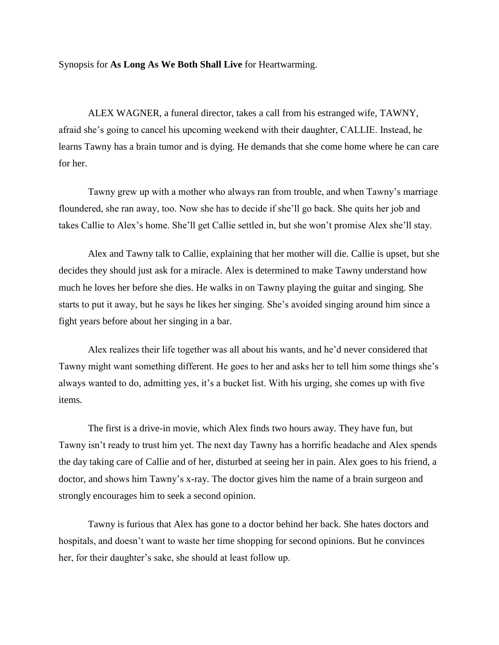Synopsis for **As Long As We Both Shall Live** for Heartwarming.

ALEX WAGNER, a funeral director, takes a call from his estranged wife, TAWNY, afraid she's going to cancel his upcoming weekend with their daughter, CALLIE. Instead, he learns Tawny has a brain tumor and is dying. He demands that she come home where he can care for her.

Tawny grew up with a mother who always ran from trouble, and when Tawny's marriage floundered, she ran away, too. Now she has to decide if she'll go back. She quits her job and takes Callie to Alex's home. She'll get Callie settled in, but she won't promise Alex she'll stay.

Alex and Tawny talk to Callie, explaining that her mother will die. Callie is upset, but she decides they should just ask for a miracle. Alex is determined to make Tawny understand how much he loves her before she dies. He walks in on Tawny playing the guitar and singing. She starts to put it away, but he says he likes her singing. She's avoided singing around him since a fight years before about her singing in a bar.

Alex realizes their life together was all about his wants, and he'd never considered that Tawny might want something different. He goes to her and asks her to tell him some things she's always wanted to do, admitting yes, it's a bucket list. With his urging, she comes up with five items.

The first is a drive-in movie, which Alex finds two hours away. They have fun, but Tawny isn't ready to trust him yet. The next day Tawny has a horrific headache and Alex spends the day taking care of Callie and of her, disturbed at seeing her in pain. Alex goes to his friend, a doctor, and shows him Tawny's x-ray. The doctor gives him the name of a brain surgeon and strongly encourages him to seek a second opinion.

Tawny is furious that Alex has gone to a doctor behind her back. She hates doctors and hospitals, and doesn't want to waste her time shopping for second opinions. But he convinces her, for their daughter's sake, she should at least follow up.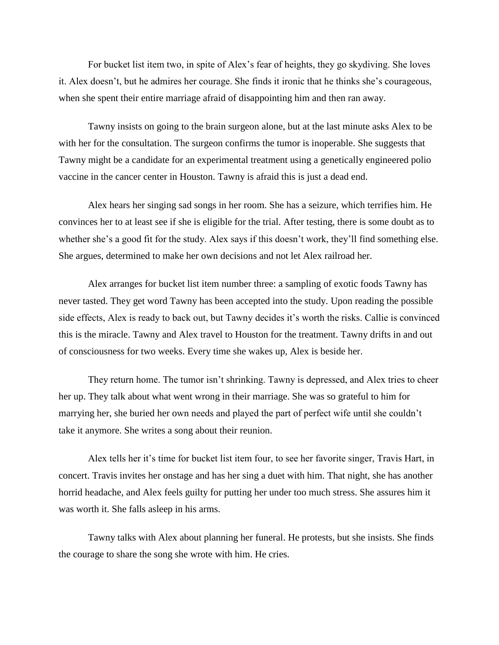For bucket list item two, in spite of Alex's fear of heights, they go skydiving. She loves it. Alex doesn't, but he admires her courage. She finds it ironic that he thinks she's courageous, when she spent their entire marriage afraid of disappointing him and then ran away.

Tawny insists on going to the brain surgeon alone, but at the last minute asks Alex to be with her for the consultation. The surgeon confirms the tumor is inoperable. She suggests that Tawny might be a candidate for an experimental treatment using a genetically engineered polio vaccine in the cancer center in Houston. Tawny is afraid this is just a dead end.

Alex hears her singing sad songs in her room. She has a seizure, which terrifies him. He convinces her to at least see if she is eligible for the trial. After testing, there is some doubt as to whether she's a good fit for the study. Alex says if this doesn't work, they'll find something else. She argues, determined to make her own decisions and not let Alex railroad her.

Alex arranges for bucket list item number three: a sampling of exotic foods Tawny has never tasted. They get word Tawny has been accepted into the study. Upon reading the possible side effects, Alex is ready to back out, but Tawny decides it's worth the risks. Callie is convinced this is the miracle. Tawny and Alex travel to Houston for the treatment. Tawny drifts in and out of consciousness for two weeks. Every time she wakes up, Alex is beside her.

They return home. The tumor isn't shrinking. Tawny is depressed, and Alex tries to cheer her up. They talk about what went wrong in their marriage. She was so grateful to him for marrying her, she buried her own needs and played the part of perfect wife until she couldn't take it anymore. She writes a song about their reunion.

Alex tells her it's time for bucket list item four, to see her favorite singer, Travis Hart, in concert. Travis invites her onstage and has her sing a duet with him. That night, she has another horrid headache, and Alex feels guilty for putting her under too much stress. She assures him it was worth it. She falls asleep in his arms.

Tawny talks with Alex about planning her funeral. He protests, but she insists. She finds the courage to share the song she wrote with him. He cries.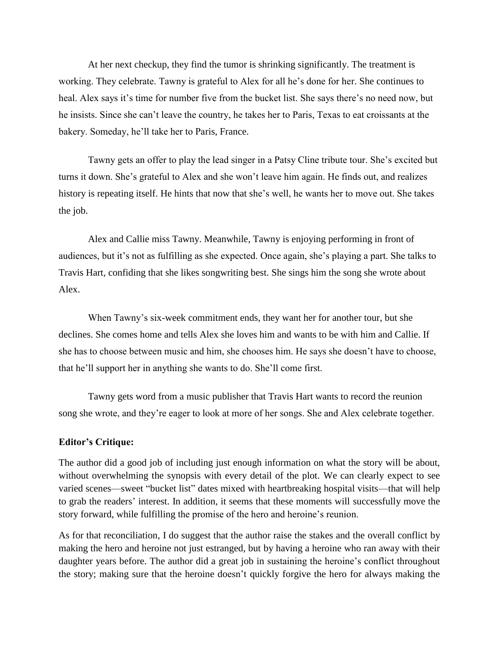At her next checkup, they find the tumor is shrinking significantly. The treatment is working. They celebrate. Tawny is grateful to Alex for all he's done for her. She continues to heal. Alex says it's time for number five from the bucket list. She says there's no need now, but he insists. Since she can't leave the country, he takes her to Paris, Texas to eat croissants at the bakery. Someday, he'll take her to Paris, France.

Tawny gets an offer to play the lead singer in a Patsy Cline tribute tour. She's excited but turns it down. She's grateful to Alex and she won't leave him again. He finds out, and realizes history is repeating itself. He hints that now that she's well, he wants her to move out. She takes the job.

Alex and Callie miss Tawny. Meanwhile, Tawny is enjoying performing in front of audiences, but it's not as fulfilling as she expected. Once again, she's playing a part. She talks to Travis Hart, confiding that she likes songwriting best. She sings him the song she wrote about Alex.

When Tawny's six-week commitment ends, they want her for another tour, but she declines. She comes home and tells Alex she loves him and wants to be with him and Callie. If she has to choose between music and him, she chooses him. He says she doesn't have to choose, that he'll support her in anything she wants to do. She'll come first.

Tawny gets word from a music publisher that Travis Hart wants to record the reunion song she wrote, and they're eager to look at more of her songs. She and Alex celebrate together.

## **Editor's Critique:**

The author did a good job of including just enough information on what the story will be about, without overwhelming the synopsis with every detail of the plot. We can clearly expect to see varied scenes—sweet "bucket list" dates mixed with heartbreaking hospital visits—that will help to grab the readers' interest. In addition, it seems that these moments will successfully move the story forward, while fulfilling the promise of the hero and heroine's reunion.

As for that reconciliation, I do suggest that the author raise the stakes and the overall conflict by making the hero and heroine not just estranged, but by having a heroine who ran away with their daughter years before. The author did a great job in sustaining the heroine's conflict throughout the story; making sure that the heroine doesn't quickly forgive the hero for always making the